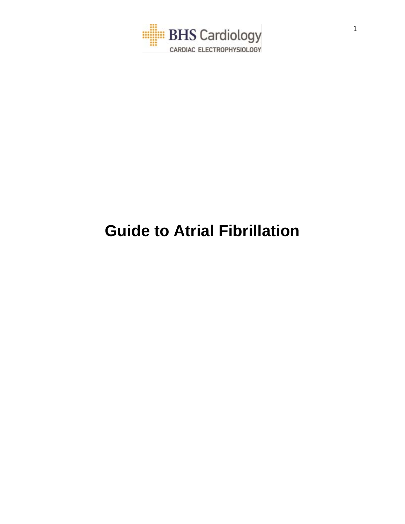

# **Guide to Atrial Fibrillation**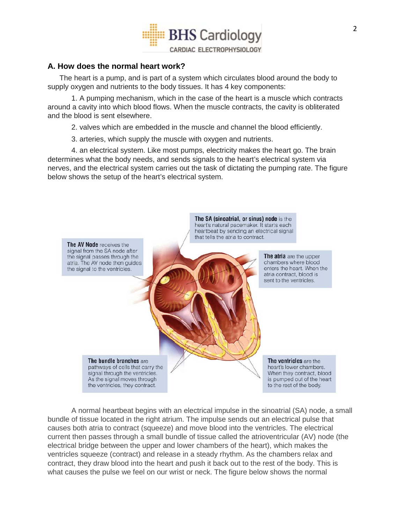

## **A. How does the normal heart work?**

The heart is a pump, and is part of a system which circulates blood around the body to supply oxygen and nutrients to the body tissues. It has 4 key components:

1. A pumping mechanism, which in the case of the heart is a muscle which contracts around a cavity into which blood flows. When the muscle contracts, the cavity is obliterated and the blood is sent elsewhere.

2. valves which are embedded in the muscle and channel the blood efficiently.

3. arteries, which supply the muscle with oxygen and nutrients.

4. an electrical system. Like most pumps, electricity makes the heart go. The brain determines what the body needs, and sends signals to the heart's electrical system via nerves, and the electrical system carries out the task of dictating the pumping rate. The figure below shows the setup of the heart's electrical system.



A normal heartbeat begins with an electrical impulse in the sinoatrial (SA) node, a small bundle of tissue located in the right atrium. The impulse sends out an electrical pulse that causes both atria to contract (squeeze) and move blood into the ventricles. The electrical current then passes through a small bundle of tissue called the atrioventricular (AV) node (the electrical bridge between the upper and lower chambers of the heart), which makes the ventricles squeeze (contract) and release in a steady rhythm. As the chambers relax and contract, they draw blood into the heart and push it back out to the rest of the body. This is what causes the pulse we feel on our wrist or neck. The figure below shows the normal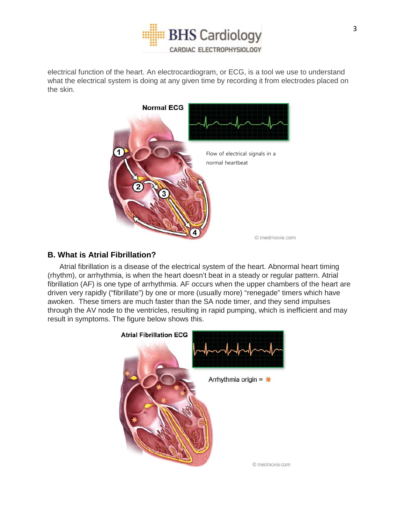

electrical function of the heart. An electrocardiogram, or ECG, is a tool we use to understand what the electrical system is doing at any given time by recording it from electrodes placed on the skin.



# **B. What is Atrial Fibrillation?**

Atrial fibrillation is a disease of the electrical system of the heart. Abnormal heart timing (rhythm), or arrhythmia, is when the heart doesn't beat in a steady or regular pattern. Atrial fibrillation (AF) is one type of arrhythmia. AF occurs when the upper chambers of the heart are driven very rapidly ("fibrillate") by one or more (usually more) "renegade" timers which have awoken. These timers are much faster than the SA node timer, and they send impulses through the AV node to the ventricles, resulting in rapid pumping, which is inefficient and may result in symptoms. The figure below shows this.

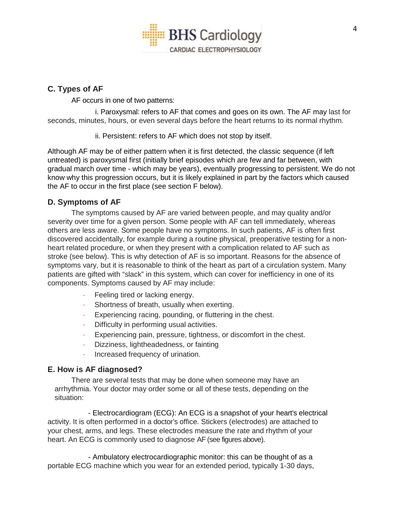

## **C. Types of AF**

AF occurs in one of two patterns:

i. Paroxysmal: refers to AF that comes and goes on its own. The AF may last for seconds, minutes, hours, or even several days before the heart returns to its normal rhythm.

ii. Persistent: refers to AF which does not stop by itself.

Although AF may be of either pattern when it is first detected, the classic sequence (if left untreated) is paroxysmal first (initially brief episodes which are few and far between, with gradual march over time - which may be years), eventually progressing to persistent. We do not know why this progression occurs, but it is likely explained in part by the factors which caused the AF to occur in the first place (see section F below).

## **D. Symptoms of AF**

The symptoms caused by AF are varied between people, and may quality and/or severity over time for a given person. Some people with AF can tell immediately, whereas others are less aware. Some people have no symptoms. In such patients, AF is often first discovered accidentally, for example during a routine physical, preoperative testing for a nonheart related procedure, or when they present with a complication related to AF such as stroke (see below). This is why detection of AF is so important. Reasons for the absence of symptoms vary, but it is reasonable to think of the heart as part of a circulation system. Many patients are gifted with "slack" in this system, which can cover for inefficiency in one of its components. Symptoms caused by AF may include:

- Feeling tired or lacking energy.
- Shortness of breath, usually when exerting.
- Experiencing racing, pounding, or fluttering in the chest.
- Difficulty in performing usual activities.
- Experiencing pain, pressure, tightness, or discomfort in the chest.
- Dizziness, lightheadedness, or fainting
- Increased frequency of urination.

## **E. How is AF diagnosed?**

There are several tests that may be done when someone may have an arrhythmia. Your doctor may order some or all of these tests, depending on the situation:

- Electrocardiogram (ECG): An ECG is a snapshot of your heart's electrical activity. It is often performed in a doctor's office. Stickers (electrodes) are attached to your chest, arms, and legs. These electrodes measure the rate and rhythm of your heart. An ECG is commonly used to diagnose AF (see figures above).

- Ambulatory electrocardiographic monitor: this can be thought of as a portable ECG machine which you wear for an extended period, typically 1-30 days,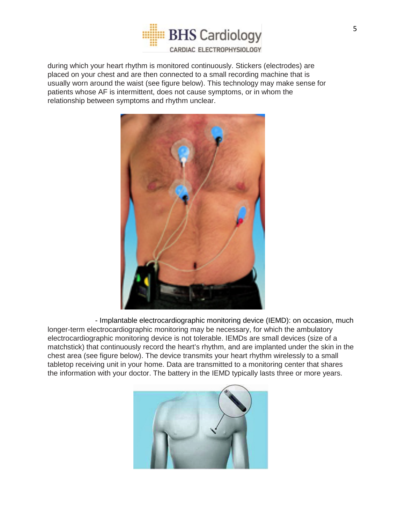

during which your heart rhythm is monitored continuously. Stickers (electrodes) are placed on your chest and are then connected to a small recording machine that is usually worn around the waist (see figure below). This technology may make sense for patients whose AF is intermittent, does not cause symptoms, or in whom the relationship between symptoms and rhythm unclear.



- Implantable electrocardiographic monitoring device (IEMD): on occasion, much longer-term electrocardiographic monitoring may be necessary, for which the ambulatory electrocardiographic monitoring device is not tolerable. IEMDs are small devices (size of a matchstick) that continuously record the heart's rhythm, and are implanted under the skin in the chest area (see figure below). The device transmits your heart rhythm wirelessly to a small tabletop receiving unit in your home. Data are transmitted to a monitoring center that shares the information with your doctor. The battery in the IEMD typically lasts three or more years.

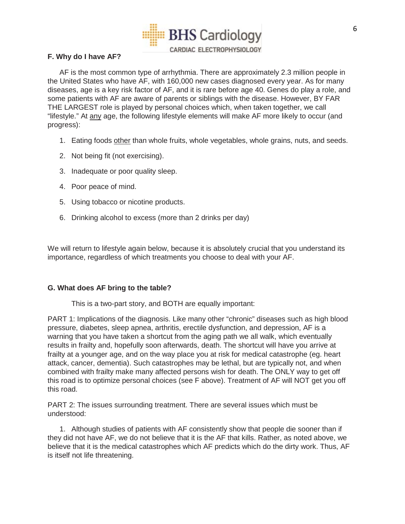

## **F. Why do I have AF?**

AF is the most common type of arrhythmia. There are approximately 2.3 million people in the United States who have AF, with 160,000 new cases diagnosed every year. As for many diseases, age is a key risk factor of AF, and it is rare before age 40. Genes do play a role, and some patients with AF are aware of parents or siblings with the disease. However, BY FAR THE LARGEST role is played by personal choices which, when taken together, we call "lifestyle." At any age, the following lifestyle elements will make AF more likely to occur (and progress):

- 1. Eating foods other than whole fruits, whole vegetables, whole grains, nuts, and seeds.
- 2. Not being fit (not exercising).
- 3. Inadequate or poor quality sleep.
- 4. Poor peace of mind.
- 5. Using tobacco or nicotine products.
- 6. Drinking alcohol to excess (more than 2 drinks per day)

We will return to lifestyle again below, because it is absolutely crucial that you understand its importance, regardless of which treatments you choose to deal with your AF.

#### **G. What does AF bring to the table?**

This is a two-part story, and BOTH are equally important:

PART 1: Implications of the diagnosis. Like many other "chronic" diseases such as high blood pressure, diabetes, sleep apnea, arthritis, erectile dysfunction, and depression, AF is a warning that you have taken a shortcut from the aging path we all walk, which eventually results in frailty and, hopefully soon afterwards, death. The shortcut will have you arrive at frailty at a younger age, and on the way place you at risk for medical catastrophe (eg. heart attack, cancer, dementia). Such catastrophes may be lethal, but are typically not, and when combined with frailty make many affected persons wish for death. The ONLY way to get off this road is to optimize personal choices (see F above). Treatment of AF will NOT get you off this road.

PART 2: The issues surrounding treatment. There are several issues which must be understood:

1. Although studies of patients with AF consistently show that people die sooner than if they did not have AF, we do not believe that it is the AF that kills. Rather, as noted above, we believe that it is the medical catastrophes which AF predicts which do the dirty work. Thus, AF is itself not life threatening.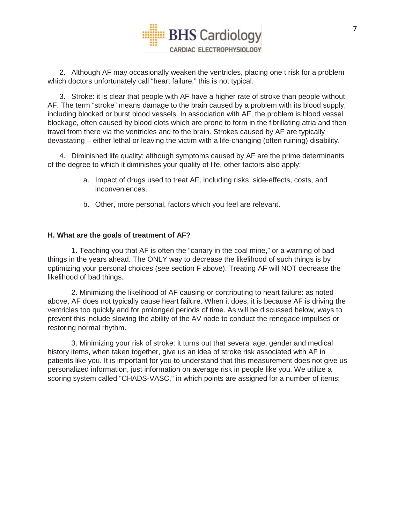

2. Although AF may occasionally weaken the ventricles, placing one t risk for a problem which doctors unfortunately call "heart failure," this is not typical.

3. Stroke: it is clear that people with AF have a higher rate of stroke than people without AF. The term "stroke" means damage to the brain caused by a problem with its blood supply, including blocked or burst blood vessels. In association with AF, the problem is blood vessel blockage, often caused by blood clots which are prone to form in the fibrillating atria and then travel from there via the ventricles and to the brain. Strokes caused by AF are typically devastating – either lethal or leaving the victim with a life-changing (often ruining) disability.

4. Diminished life quality: although symptoms caused by AF are the prime determinants of the degree to which it diminishes your quality of life, other factors also apply:

- a. Impact of drugs used to treat AF, including risks, side-effects, costs, and inconveniences.
- b. Other, more personal, factors which you feel are relevant.

#### **H. What are the goals of treatment of AF?**

1. Teaching you that AF is often the "canary in the coal mine," or a warning of bad things in the years ahead. The ONLY way to decrease the likelihood of such things is by optimizing your personal choices (see section F above). Treating AF will NOT decrease the likelihood of bad things.

2. Minimizing the likelihood of AF causing or contributing to heart failure: as noted above, AF does not typically cause heart failure. When it does, it is because AF is driving the ventricles too quickly and for prolonged periods of time. As will be discussed below, ways to prevent this include slowing the ability of the AV node to conduct the renegade impulses or restoring normal rhythm.

3. Minimizing your risk of stroke: it turns out that several age, gender and medical history items, when taken together, give us an idea of stroke risk associated with AF in patients like you. It is important for you to understand that this measurement does not give us personalized information, just information on average risk in people like you. We utilize a scoring system called "CHADS-VASC," in which points are assigned for a number of items: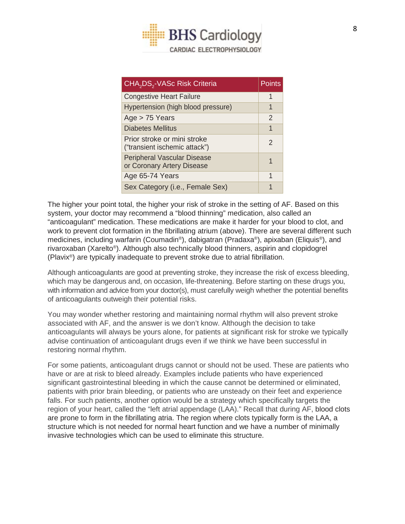

| CHA <sub>2</sub> DS <sub>2</sub> -VASc Risk Criteria             | Points        |
|------------------------------------------------------------------|---------------|
| <b>Congestive Heart Failure</b>                                  | 1             |
| Hypertension (high blood pressure)                               | 1             |
| Age $> 75$ Years                                                 | $\mathcal{P}$ |
| Diabetes Mellitus                                                | 1             |
| Prior stroke or mini stroke<br>("transient ischemic attack")     | $\mathcal{P}$ |
| <b>Peripheral Vascular Disease</b><br>or Coronary Artery Disease | 1             |
| Age 65-74 Years                                                  | 1             |
| Sex Category (i.e., Female Sex)                                  |               |

The higher your point total, the higher your risk of stroke in the setting of AF. Based on this system, your doctor may recommend a "blood thinning" medication, also called an "anticoagulant" medication. These medications are make it harder for your blood to clot, and work to prevent clot formation in the fibrillating atrium (above). There are several different such medicines, including warfarin (Coumadin®), dabigatran (Pradaxa®), apixaban (Eliquis®), and rivaroxaban (Xarelto®). Although also technically blood thinners, aspirin and clopidogrel (Plavix®) are typically inadequate to prevent stroke due to atrial fibrillation.

Although anticoagulants are good at preventing stroke, they increase the risk of excess bleeding, which may be dangerous and, on occasion, life-threatening. Before starting on these drugs you, with information and advice from your doctor(s), must carefully weigh whether the potential benefits of anticoagulants outweigh their potential risks.

You may wonder whether restoring and maintaining normal rhythm will also prevent stroke associated with AF, and the answer is we don't know. Although the decision to take anticoagulants will always be yours alone, for patients at significant risk for stroke we typically advise continuation of anticoagulant drugs even if we think we have been successful in restoring normal rhythm.

For some patients, anticoagulant drugs cannot or should not be used. These are patients who have or are at risk to bleed already. Examples include patients who have experienced significant gastrointestinal bleeding in which the cause cannot be determined or eliminated, patients with prior brain bleeding, or patients who are unsteady on their feet and experience falls. For such patients, another option would be a strategy which specifically targets the region of your heart, called the "left atrial appendage (LAA)." Recall that during AF, blood clots are prone to form in the fibrillating atria. The region where clots typically form is the LAA, a structure which is not needed for normal heart function and we have a number of minimally invasive technologies which can be used to eliminate this structure.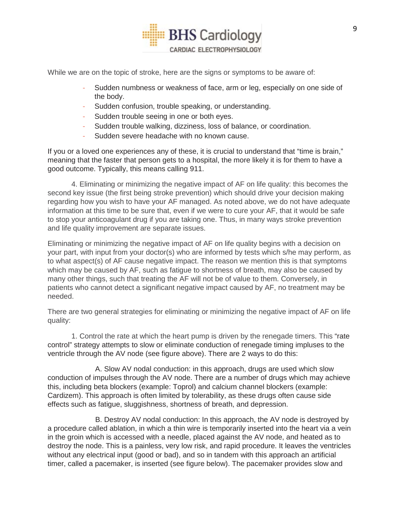

While we are on the topic of stroke, here are the signs or symptoms to be aware of:

- Sudden numbness or weakness of face, arm or leg, especially on one side of the body.
- Sudden confusion, trouble speaking, or understanding.
- Sudden trouble seeing in one or both eyes.
- Sudden trouble walking, dizziness, loss of balance, or coordination.
- Sudden severe headache with no known cause.

If you or a loved one experiences any of these, it is crucial to understand that "time is brain," meaning that the faster that person gets to a hospital, the more likely it is for them to have a good outcome. Typically, this means calling 911.

4. Eliminating or minimizing the negative impact of AF on life quality: this becomes the second key issue (the first being stroke prevention) which should drive your decision making regarding how you wish to have your AF managed. As noted above, we do not have adequate information at this time to be sure that, even if we were to cure your AF, that it would be safe to stop your anticoagulant drug if you are taking one. Thus, in many ways stroke prevention and life quality improvement are separate issues.

Eliminating or minimizing the negative impact of AF on life quality begins with a decision on your part, with input from your doctor(s) who are informed by tests which s/he may perform, as to what aspect(s) of AF cause negative impact. The reason we mention this is that symptoms which may be caused by AF, such as fatigue to shortness of breath, may also be caused by many other things, such that treating the AF will not be of value to them. Conversely, in patients who cannot detect a significant negative impact caused by AF, no treatment may be needed.

There are two general strategies for eliminating or minimizing the negative impact of AF on life quality:

1. Control the rate at which the heart pump is driven by the renegade timers. This "rate control" strategy attempts to slow or eliminate conduction of renegade timing impluses to the ventricle through the AV node (see figure above). There are 2 ways to do this:

A. Slow AV nodal conduction: in this approach, drugs are used which slow conduction of impulses through the AV node. There are a number of drugs which may achieve this, including beta blockers (example: Toprol) and calcium channel blockers (example: Cardizem). This approach is often limited by tolerability, as these drugs often cause side effects such as fatigue, sluggishness, shortness of breath, and depression.

B. Destroy AV nodal conduction: In this approach, the AV node is destroyed by a procedure called ablation, in which a thin wire is temporarily inserted into the heart via a vein in the groin which is accessed with a needle, placed against the AV node, and heated as to destroy the node. This is a painless, very low risk, and rapid procedure. It leaves the ventricles without any electrical input (good or bad), and so in tandem with this approach an artificial timer, called a pacemaker, is inserted (see figure below). The pacemaker provides slow and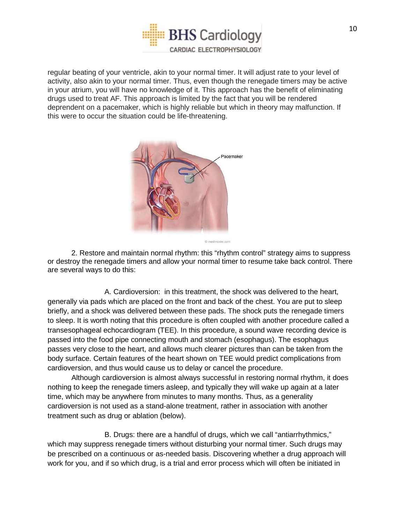

regular beating of your ventricle, akin to your normal timer. It will adjust rate to your level of activity, also akin to your normal timer. Thus, even though the renegade timers may be active in your atrium, you will have no knowledge of it. This approach has the benefit of eliminating drugs used to treat AF. This approach is limited by the fact that you will be rendered deprendent on a pacemaker, which is highly reliable but which in theory may malfunction. If this were to occur the situation could be life-threatening.



© medmovie.com

2. Restore and maintain normal rhythm: this "rhythm control" strategy aims to suppress or destroy the renegade timers and allow your normal timer to resume take back control. There are several ways to do this:

A. Cardioversion: in this treatment, the shock was delivered to the heart, generally via pads which are placed on the front and back of the chest. You are put to sleep briefly, and a shock was delivered between these pads. The shock puts the renegade timers to sleep. It is worth noting that this procedure is often coupled with another procedure called a transesophageal echocardiogram (TEE). In this procedure, a sound wave recording device is passed into the food pipe connecting mouth and stomach (esophagus). The esophagus passes very close to the heart, and allows much clearer pictures than can be taken from the body surface. Certain features of the heart shown on TEE would predict complications from cardioversion, and thus would cause us to delay or cancel the procedure.

Although cardioversion is almost always successful in restoring normal rhythm, it does nothing to keep the renegade timers asleep, and typically they will wake up again at a later time, which may be anywhere from minutes to many months. Thus, as a generality cardioversion is not used as a stand-alone treatment, rather in association with another treatment such as drug or ablation (below).

B. Drugs: there are a handful of drugs, which we call "antiarrhythmics," which may suppress renegade timers without disturbing your normal timer. Such drugs may be prescribed on a continuous or as-needed basis. Discovering whether a drug approach will work for you, and if so which drug, is a trial and error process which will often be initiated in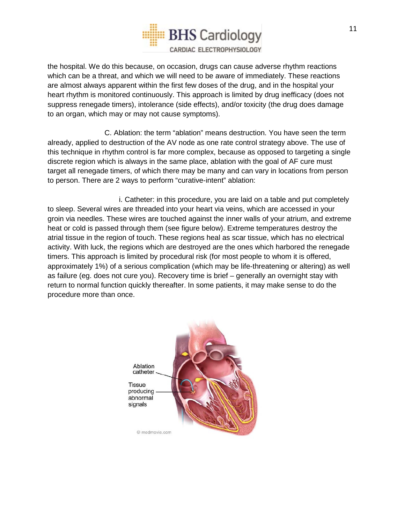

the hospital. We do this because, on occasion, drugs can cause adverse rhythm reactions which can be a threat, and which we will need to be aware of immediately. These reactions are almost always apparent within the first few doses of the drug, and in the hospital your heart rhythm is monitored continuously. This approach is limited by drug inefficacy (does not suppress renegade timers), intolerance (side effects), and/or toxicity (the drug does damage to an organ, which may or may not cause symptoms).

C. Ablation: the term "ablation" means destruction. You have seen the term already, applied to destruction of the AV node as one rate control strategy above. The use of this technique in rhythm control is far more complex, because as opposed to targeting a single discrete region which is always in the same place, ablation with the goal of AF cure must target all renegade timers, of which there may be many and can vary in locations from person to person. There are 2 ways to perform "curative-intent" ablation:

i. Catheter: in this procedure, you are laid on a table and put completely to sleep. Several wires are threaded into your heart via veins, which are accessed in your groin via needles. These wires are touched against the inner walls of your atrium, and extreme heat or cold is passed through them (see figure below). Extreme temperatures destroy the atrial tissue in the region of touch. These regions heal as scar tissue, which has no electrical activity. With luck, the regions which are destroyed are the ones which harbored the renegade timers. This approach is limited by procedural risk (for most people to whom it is offered, approximately 1%) of a serious complication (which may be life-threatening or altering) as well as failure (eg. does not cure you). Recovery time is brief – generally an overnight stay with return to normal function quickly thereafter. In some patients, it may make sense to do the procedure more than once.